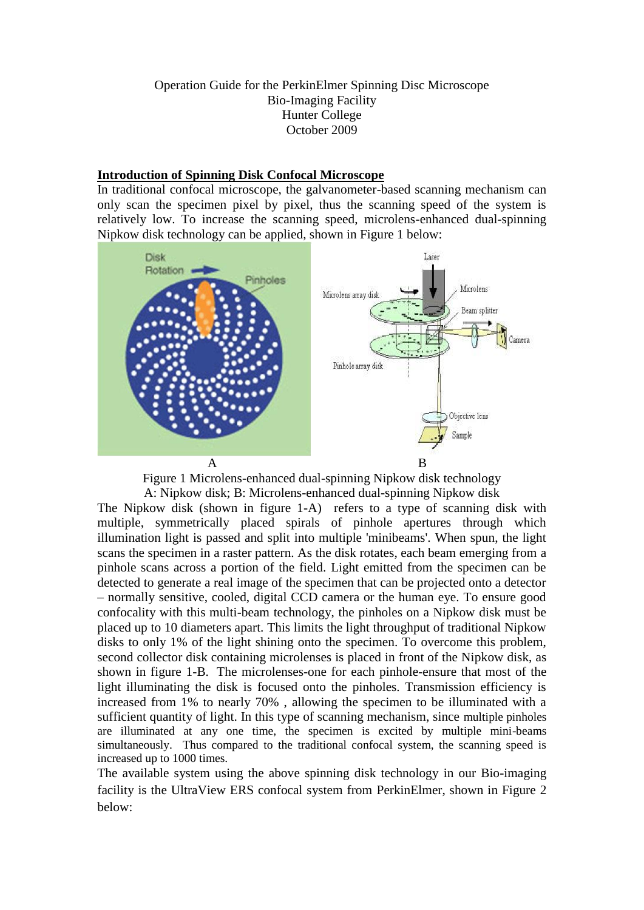#### Operation Guide for the PerkinElmer Spinning Disc Microscope Bio-Imaging Facility Hunter College October 2009

#### **Introduction of Spinning Disk Confocal Microscope**

In traditional confocal microscope, the galvanometer-based scanning mechanism can only scan the specimen pixel by pixel, thus the scanning speed of the system is relatively low. To increase the scanning speed, microlens-enhanced dual-spinning Nipkow disk technology can be applied, shown in Figure 1 below:



Figure 1 Microlens-enhanced dual-spinning Nipkow disk technology

A: Nipkow disk; B: Microlens-enhanced dual-spinning Nipkow disk The Nipkow disk (shown in figure 1-A) refers to a type of scanning disk with multiple, symmetrically placed spirals of pinhole apertures through which illumination light is passed and split into multiple 'minibeams'. When spun, the light scans the specimen in a raster pattern. As the disk rotates, each beam emerging from a pinhole scans across a portion of the field. Light emitted from the specimen can be detected to generate a real image of the specimen that can be projected onto a detector – normally sensitive, cooled, digital CCD camera or the human eye. To ensure good confocality with this multi-beam technology, the pinholes on a Nipkow disk must be placed up to 10 diameters apart. This limits the light throughput of traditional Nipkow disks to only 1% of the light shining onto the specimen. To overcome this problem, second collector disk containing microlenses is placed in front of the Nipkow disk, as shown in figure 1-B. The microlenses-one for each pinhole-ensure that most of the light illuminating the disk is focused onto the pinholes. Transmission efficiency is increased from 1% to nearly 70% , allowing the specimen to be illuminated with a sufficient quantity of light. In this type of scanning mechanism, since multiple pinholes are illuminated at any one time, the specimen is excited by multiple mini-beams simultaneously. Thus compared to the traditional confocal system, the scanning speed is increased up to 1000 times.

The available system using the above spinning disk technology in our Bio-imaging facility is the UltraView ERS confocal system from PerkinElmer, shown in Figure 2 below: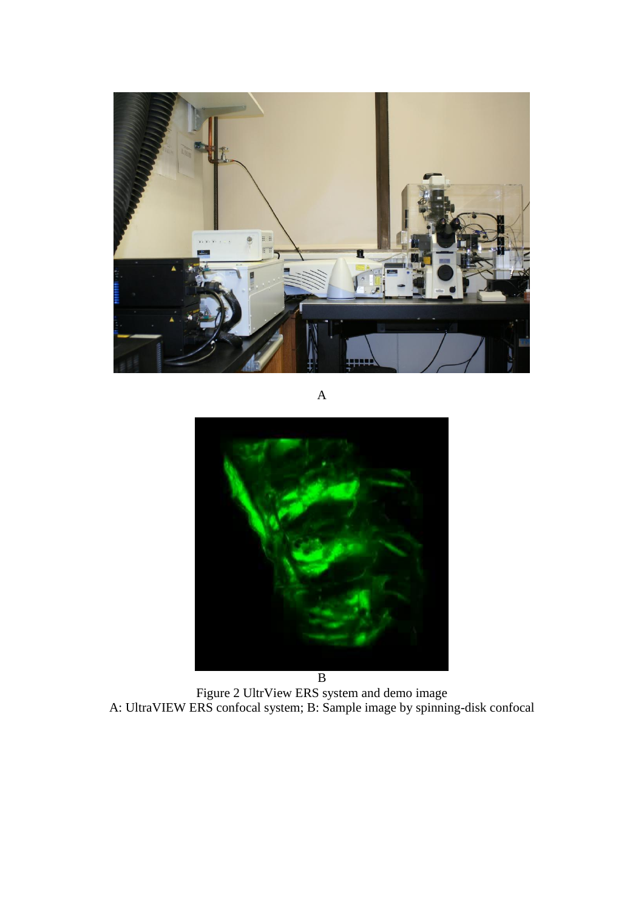

A



Figure 2 UltrView ERS system and demo image A: UltraVIEW ERS confocal system; B: Sample image by spinning-disk confocal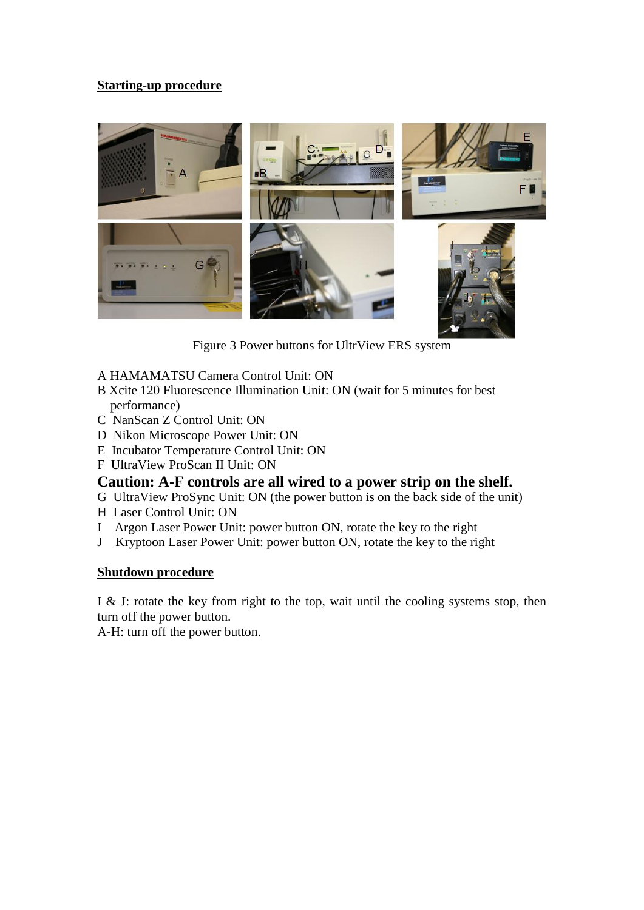## **Starting-up procedure**



Figure 3 Power buttons for UltrView ERS system

- A HAMAMATSU Camera Control Unit: ON
- B Xcite 120 Fluorescence Illumination Unit: ON (wait for 5 minutes for best performance)
- C NanScan Z Control Unit: ON
- D Nikon Microscope Power Unit: ON
- E Incubator Temperature Control Unit: ON
- F UltraView ProScan II Unit: ON

# **Caution: A-F controls are all wired to a power strip on the shelf.**

G UltraView ProSync Unit: ON (the power button is on the back side of the unit)

- H Laser Control Unit: ON
- I Argon Laser Power Unit: power button ON, rotate the key to the right
- J Kryptoon Laser Power Unit: power button ON, rotate the key to the right

## **Shutdown procedure**

I & J: rotate the key from right to the top, wait until the cooling systems stop, then turn off the power button.

A-H: turn off the power button.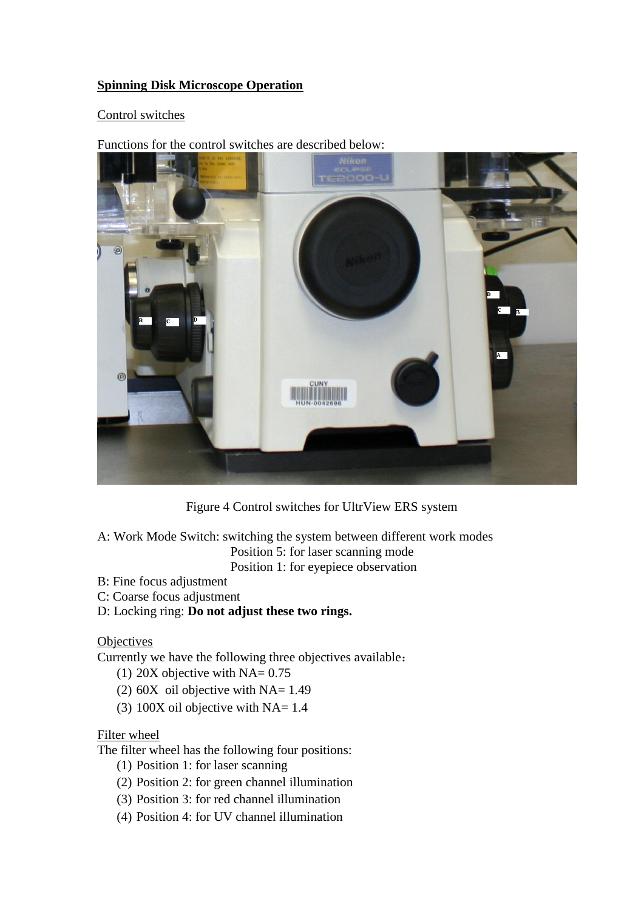## **Spinning Disk Microscope Operation**

#### Control switches

Functions for the control switches are described below:



Figure 4 Control switches for UltrView ERS system

- A: Work Mode Switch: switching the system between different work modes Position 5: for laser scanning mode Position 1: for eyepiece observation
- B: Fine focus adjustment
- C: Coarse focus adjustment
- D: Locking ring: **Do not adjust these two rings.**

**Objectives** 

Currently we have the following three objectives available:

- (1) 20X objective with  $NA = 0.75$
- (2)  $60X$  oil objective with NA= 1.49
- (3)  $100X$  oil objective with NA= 1.4

## Filter wheel

The filter wheel has the following four positions:

- (1) Position 1: for laser scanning
- (2) Position 2: for green channel illumination
- (3) Position 3: for red channel illumination
- (4) Position 4: for UV channel illumination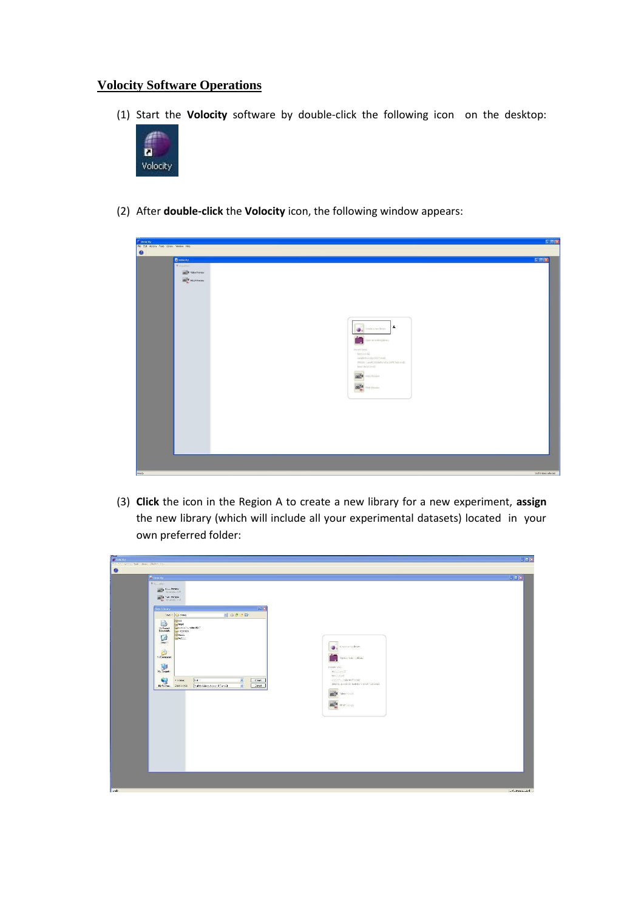#### **Volocity Software Operations**

(1) Start the **Volocity** software by double-click the following icon on the desktop:



(2) After **double-click** the **Volocity** icon, the following window appears:

| Volscity                                                                                                                                                                                                                                                                                                                                                                                                                                               | EEE                  |
|--------------------------------------------------------------------------------------------------------------------------------------------------------------------------------------------------------------------------------------------------------------------------------------------------------------------------------------------------------------------------------------------------------------------------------------------------------|----------------------|
|                                                                                                                                                                                                                                                                                                                                                                                                                                                        |                      |
|                                                                                                                                                                                                                                                                                                                                                                                                                                                        |                      |
|                                                                                                                                                                                                                                                                                                                                                                                                                                                        |                      |
| File Edit Actions Tools Library Window Help<br>EDK<br><b>D</b> Volocity<br><b>WWW.</b><br>m <sup>14</sup> Video Preview<br><b>ODER</b> FRAPPVerien<br>A<br><b>O</b> <sub>x</sub> Ordeamotivey<br>Download a publication of the language<br>Facerit karon)<br>textilent?<br>sargle-fournite-\$207,modif.<br>(NGC) 8 - Lance C (Chiled of a fire CAVI Text, and C<br>jacer decarated?<br>m <sup>2</sup><br>Video Portugue<br><b>m<sup>14</sup></b> memor |                      |
|                                                                                                                                                                                                                                                                                                                                                                                                                                                        |                      |
|                                                                                                                                                                                                                                                                                                                                                                                                                                                        |                      |
|                                                                                                                                                                                                                                                                                                                                                                                                                                                        | O of 0 term selected |

(3) **Click** the icon in the Region A to create a new library for a new experiment, **assign** the new library (which will include all your experimental datasets) located in your own preferred folder:

| <b>Cyvoheny</b><br>the first Grand Task, Rewr Where I am                                                                                                                                                                                                                                                                                                                                                                                                                                                                                                                                                                                                                                                                                                                                                                                                                                                                                                                                                                                                                                                                                                                                      |                                                                                            |                                                                                                                                                                                                                                   | $ E  =  E $            |
|-----------------------------------------------------------------------------------------------------------------------------------------------------------------------------------------------------------------------------------------------------------------------------------------------------------------------------------------------------------------------------------------------------------------------------------------------------------------------------------------------------------------------------------------------------------------------------------------------------------------------------------------------------------------------------------------------------------------------------------------------------------------------------------------------------------------------------------------------------------------------------------------------------------------------------------------------------------------------------------------------------------------------------------------------------------------------------------------------------------------------------------------------------------------------------------------------|--------------------------------------------------------------------------------------------|-----------------------------------------------------------------------------------------------------------------------------------------------------------------------------------------------------------------------------------|------------------------|
| $\bullet$                                                                                                                                                                                                                                                                                                                                                                                                                                                                                                                                                                                                                                                                                                                                                                                                                                                                                                                                                                                                                                                                                                                                                                                     |                                                                                            |                                                                                                                                                                                                                                   |                        |
|                                                                                                                                                                                                                                                                                                                                                                                                                                                                                                                                                                                                                                                                                                                                                                                                                                                                                                                                                                                                                                                                                                                                                                                               |                                                                                            |                                                                                                                                                                                                                                   |                        |
| <b>D</b> valuely<br>$T_{A000}$<br>$\frac{1}{\sqrt{2\pi}}\mathbf{E}^{-1}\left(\frac{\mathbf{1}_{\mathbf{1}_{\mathbf{1}_{\mathbf{1}_{\mathbf{1}_{\mathbf{1}}}}}}\mathbf{1}_{\mathbf{1}_{\mathbf{1}_{\mathbf{1}}}}}\mathbf{1}_{\mathbf{1}_{\mathbf{1}_{\mathbf{1}}}}\mathbf{1}_{\mathbf{1}_{\mathbf{1}_{\mathbf{1}}}}\mathbf{1}_{\mathbf{1}_{\mathbf{1}_{\mathbf{1}}}}\mathbf{1}_{\mathbf{1}_{\mathbf{1}_{\mathbf{1}}}}\mathbf{1}_{\mathbf{1}_{\mathbf{1}_{\mathbf{1}}}}\mathbf{1}_{\math$<br>$\begin{picture}(20,10) \put(0,0){\vector(0,1){30}} \put(15,0){\vector(0,1){30}} \put(15,0){\vector(0,1){30}} \put(15,0){\vector(0,1){30}} \put(15,0){\vector(0,1){30}} \put(15,0){\vector(0,1){30}} \put(15,0){\vector(0,1){30}} \put(15,0){\vector(0,1){30}} \put(15,0){\vector(0,1){30}} \put(15,0){\vector(0,1){30}} \put(15,0){\vector(0,1){30}} \put(15,0){\vector(0$<br>New Library<br>Elevel 4   La chiang<br><b>tam</b><br>B<br>Laimed<br>Chairs a forcede dont.<br>Calculated<br>V <sub>3</sub> Foxes<br>abo<br>G<br><b>Labor</b><br>Design:<br>D<br>Vy Consumer<br>$\begin{array}{c} \hline \text{all} \\ \text{in order} \end{array}$<br>$\bullet$<br><b>Econom</b><br>Hylesse Deepath | $\sqrt{2}$<br>引っきの皿<br>light 11<br>Cwds.<br>y.<br>vol Colleger on 27 avril<br><b>Cased</b> | Cassina no Mean.<br>G.<br>Open article) to Meant<br>ReinrA (sys)<br>technical.<br>tentiny est.<br>stree-ta-ode-01Freeb<br>090216 - Lay GCTC Bibliot of p. D4PC and reads<br><b>on<sup>t</sup>4</b> Steel has<br><b>CONTRACTOR</b> | $ n  =  n  \times  n $ |
|                                                                                                                                                                                                                                                                                                                                                                                                                                                                                                                                                                                                                                                                                                                                                                                                                                                                                                                                                                                                                                                                                                                                                                                               |                                                                                            |                                                                                                                                                                                                                                   |                        |
|                                                                                                                                                                                                                                                                                                                                                                                                                                                                                                                                                                                                                                                                                                                                                                                                                                                                                                                                                                                                                                                                                                                                                                                               |                                                                                            |                                                                                                                                                                                                                                   |                        |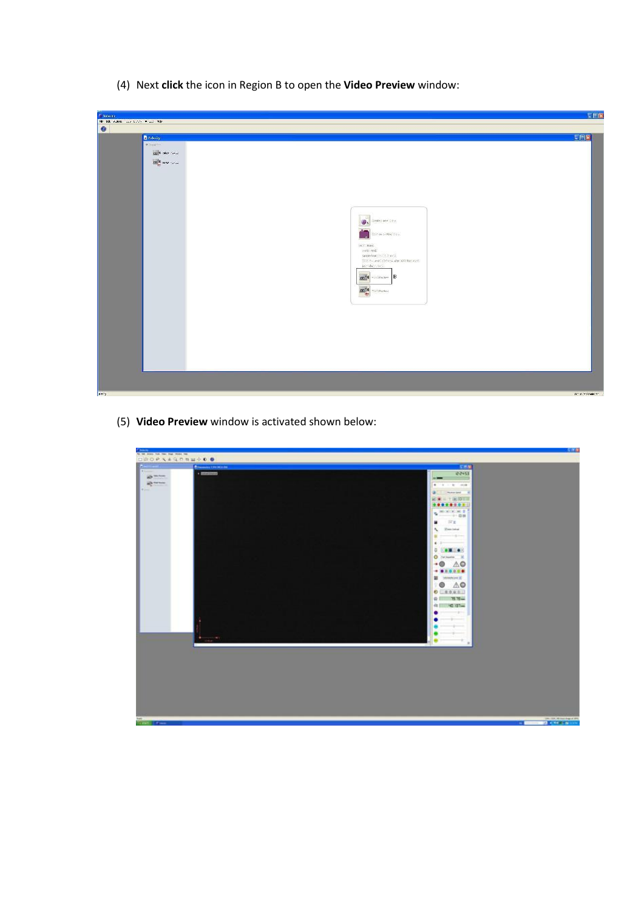(4) Next **click** the icon in Region B to open the **Video Preview** window:

| <b>Column</b>                                |                                                                                                                                                                                                                                                                                                                                                                                                                                       | EEX          |
|----------------------------------------------|---------------------------------------------------------------------------------------------------------------------------------------------------------------------------------------------------------------------------------------------------------------------------------------------------------------------------------------------------------------------------------------------------------------------------------------|--------------|
|                                              |                                                                                                                                                                                                                                                                                                                                                                                                                                       |              |
| He tak state and they will take<br>$\bullet$ | D Volmity<br>Vance<br>$\log^2\!\theta$ take $\sim 1.5$<br><b>DO<sup>N</sup>R HPAP</b> Parked<br>Graded new Cotty:<br>舉<br>October 2014 Street<br>m.<br>Secrit Avrel<br>anti risti<br>sample-found and El Ann (2)<br>TEST-units (other) also best for yest.<br>inc. doc. tell<br>$\left\  \mathbf{m}^{\star} \right\ $ -non-non- $\left\  \mathbf{B} \right\ $<br>$\frac{\mathbf{m}^{\mathsf{H}}_{\mathsf{A}}}{\mathsf{E}}$ -connected | EEX          |
| Reary.                                       |                                                                                                                                                                                                                                                                                                                                                                                                                                       | Ambroyeekomm |

(5) **Video Preview** window is activated shown below:

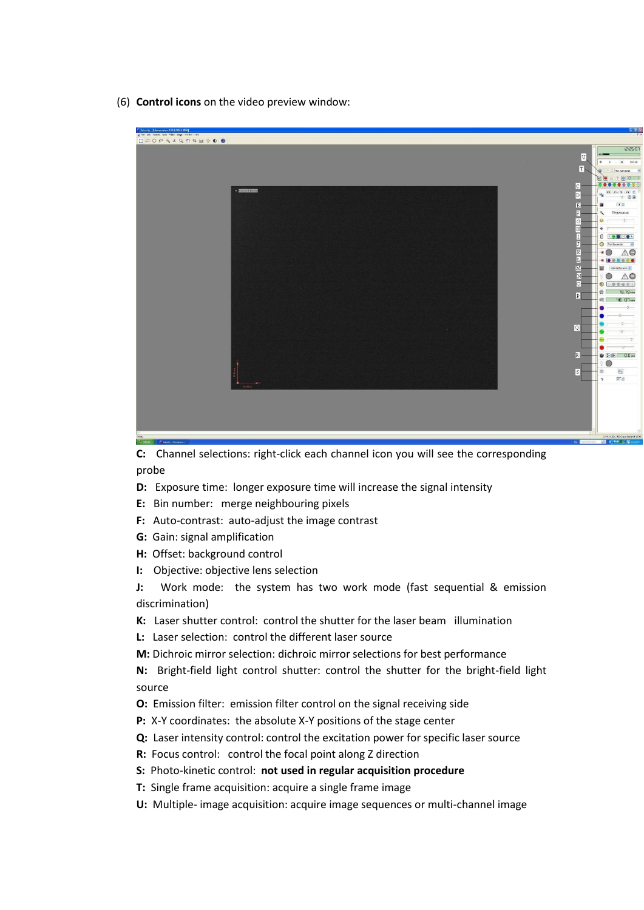(6) **Control icons** on the video preview window:



**C:** Channel selections: right-click each channel icon you will see the corresponding probe

- **D:** Exposure time: longer exposure time will increase the signal intensity
- **E:** Bin number: merge neighbouring pixels
- **F:** Auto-contrast: auto-adjust the image contrast
- **G:** Gain: signal amplification
- **H:** Offset: background control
- **I:** Objective: objective lens selection

**J:** Work mode: the system has two work mode (fast sequential & emission discrimination)

- **K:** Laser shutter control: control the shutter for the laser beam illumination
- **L:** Laser selection: control the different laser source
- **M:** Dichroic mirror selection: dichroic mirror selections for best performance

**N:** Bright-field light control shutter: control the shutter for the bright-field light source

- **O:** Emission filter: emission filter control on the signal receiving side
- **P:** X-Y coordinates: the absolute X-Y positions of the stage center
- **Q:** Laser intensity control: control the excitation power for specific laser source
- **R:** Focus control: control the focal point along Z direction
- **S:** Photo-kinetic control: **not used in regular acquisition procedure**
- **T:** Single frame acquisition: acquire a single frame image
- **U:** Multiple- image acquisition: acquire image sequences or multi-channel image